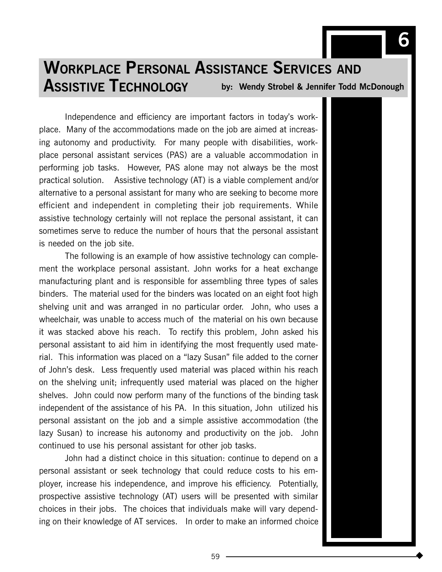# by: Wendy Strobel & Jennifer Todd McDonough WORKPLACE PERSONAL ASSISTANCE SERVICES AND ASSISTIVE TECHNOLOGY

Independence and efficiency are important factors in today's workplace. Many of the accommodations made on the job are aimed at increasing autonomy and productivity. For many people with disabilities, workplace personal assistant services (PAS) are a valuable accommodation in performing job tasks. However, PAS alone may not always be the most practical solution. Assistive technology (AT) is a viable complement and/or alternative to a personal assistant for many who are seeking to become more efficient and independent in completing their job requirements. While assistive technology certainly will not replace the personal assistant, it can sometimes serve to reduce the number of hours that the personal assistant is needed on the job site.

The following is an example of how assistive technology can complement the workplace personal assistant. John works for a heat exchange manufacturing plant and is responsible for assembling three types of sales binders. The material used for the binders was located on an eight foot high shelving unit and was arranged in no particular order. John, who uses a wheelchair, was unable to access much of the material on his own because it was stacked above his reach. To rectify this problem, John asked his personal assistant to aid him in identifying the most frequently used material. This information was placed on a "lazy Susan" file added to the corner of John's desk. Less frequently used material was placed within his reach on the shelving unit; infrequently used material was placed on the higher shelves. John could now perform many of the functions of the binding task independent of the assistance of his PA. In this situation, John utilized his personal assistant on the job and a simple assistive accommodation (the lazy Susan) to increase his autonomy and productivity on the job. John continued to use his personal assistant for other job tasks.

John had a distinct choice in this situation: continue to depend on a personal assistant or seek technology that could reduce costs to his employer, increase his independence, and improve his efficiency. Potentially, prospective assistive technology (AT) users will be presented with similar choices in their jobs. The choices that individuals make will vary depending on their knowledge of AT services. In order to make an informed choice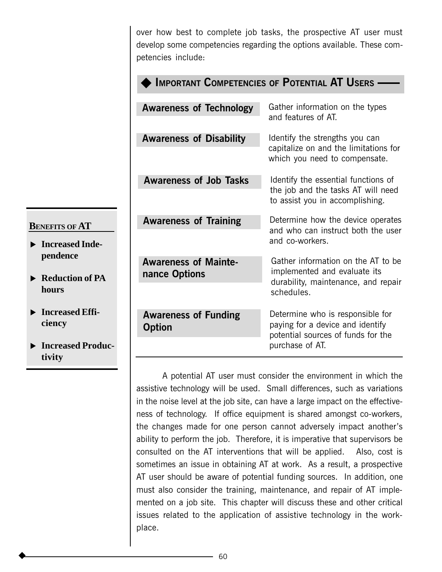over how best to complete job tasks, the prospective AT user must develop some competencies regarding the options available. These competencies include:

| <b>IMPORTANT COMPETENCIES OF POTENTIAL AT USERS -</b> |                                                                                                                               |
|-------------------------------------------------------|-------------------------------------------------------------------------------------------------------------------------------|
| <b>Awareness of Technology</b>                        | Gather information on the types<br>and features of AT.                                                                        |
| <b>Awareness of Disability</b>                        | Identify the strengths you can<br>capitalize on and the limitations for<br>which you need to compensate.                      |
| <b>Awareness of Job Tasks</b>                         | Identify the essential functions of<br>the job and the tasks AT will need<br>to assist you in accomplishing.                  |
| <b>Awareness of Training</b>                          | Determine how the device operates<br>and who can instruct both the user<br>and co-workers.                                    |
| <b>Awareness of Mainte-</b><br>nance Options          | Gather information on the AT to be<br>implemented and evaluate its<br>durability, maintenance, and repair<br>schedules.       |
| <b>Awareness of Funding</b><br><b>Option</b>          | Determine who is responsible for<br>paying for a device and identify<br>potential sources of funds for the<br>purchase of AT. |

A potential AT user must consider the environment in which the assistive technology will be used. Small differences, such as variations in the noise level at the job site, can have a large impact on the effectiveness of technology. If office equipment is shared amongst co-workers, the changes made for one person cannot adversely impact another's ability to perform the job. Therefore, it is imperative that supervisors be consulted on the AT interventions that will be applied. Also, cost is sometimes an issue in obtaining AT at work. As a result, a prospective AT user should be aware of potential funding sources. In addition, one must also consider the training, maintenance, and repair of AT implemented on a job site. This chapter will discuss these and other critical issues related to the application of assistive technology in the workplace.

#### **BENEFITS OF AT**

- **Increased Independence**
- ▶ Reduction of PA **hours**
- $\blacktriangleright$  Increased Effi**ciency**
- $\blacktriangleright$  Increased Produc**tivity**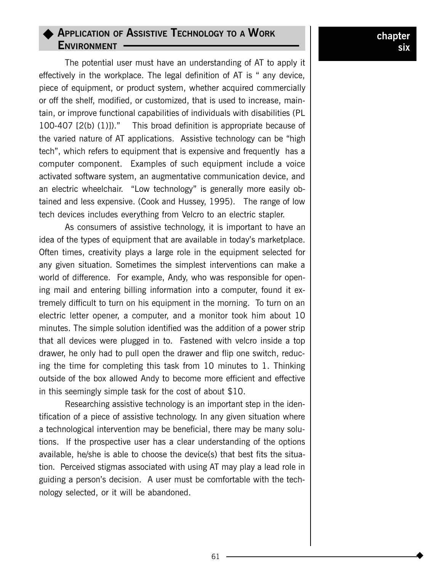# $\rightarrow$  Application of Assistive Technology to a Work ENVIRONMENT -

The potential user must have an understanding of AT to apply it effectively in the workplace. The legal definition of AT is " any device, piece of equipment, or product system, whether acquired commercially or off the shelf, modified, or customized, that is used to increase, maintain, or improve functional capabilities of individuals with disabilities (PL 100-407  $[2(b) (1)]$ ." This broad definition is appropriate because of the varied nature of AT applications. Assistive technology can be "high tech", which refers to equipment that is expensive and frequently has a computer component. Examples of such equipment include a voice activated software system, an augmentative communication device, and an electric wheelchair. "Low technology" is generally more easily obtained and less expensive. (Cook and Hussey, 1995). The range of low tech devices includes everything from Velcro to an electric stapler.

As consumers of assistive technology, it is important to have an idea of the types of equipment that are available in today's marketplace. Often times, creativity plays a large role in the equipment selected for any given situation. Sometimes the simplest interventions can make a world of difference. For example, Andy, who was responsible for opening mail and entering billing information into a computer, found it extremely difficult to turn on his equipment in the morning. To turn on an electric letter opener, a computer, and a monitor took him about 10 minutes. The simple solution identified was the addition of a power strip that all devices were plugged in to. Fastened with velcro inside a top drawer, he only had to pull open the drawer and flip one switch, reducing the time for completing this task from 10 minutes to 1. Thinking outside of the box allowed Andy to become more efficient and effective in this seemingly simple task for the cost of about \$10.

Researching assistive technology is an important step in the identification of a piece of assistive technology. In any given situation where a technological intervention may be beneficial, there may be many solutions. If the prospective user has a clear understanding of the options available, he/she is able to choose the device(s) that best fits the situation. Perceived stigmas associated with using AT may play a lead role in guiding a person's decision. A user must be comfortable with the technology selected, or it will be abandoned.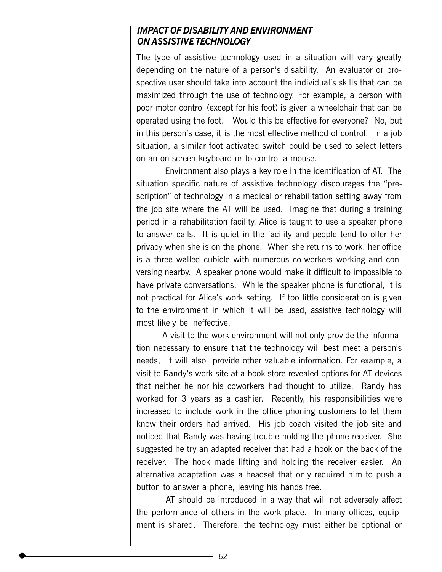### IMPACT OF DISABILITY AND ENVIRONMENT ON ASSISTIVE TECHNOLOGY

The type of assistive technology used in a situation will vary greatly depending on the nature of a person's disability. An evaluator or prospective user should take into account the individual's skills that can be maximized through the use of technology. For example, a person with poor motor control (except for his foot) is given a wheelchair that can be operated using the foot. Would this be effective for everyone? No, but in this person's case, it is the most effective method of control. In a job situation, a similar foot activated switch could be used to select letters on an on-screen keyboard or to control a mouse.

 Environment also plays a key role in the identification of AT. The situation specific nature of assistive technology discourages the "prescription" of technology in a medical or rehabilitation setting away from the job site where the AT will be used. Imagine that during a training period in a rehabilitation facility, Alice is taught to use a speaker phone to answer calls. It is quiet in the facility and people tend to offer her privacy when she is on the phone. When she returns to work, her office is a three walled cubicle with numerous co-workers working and conversing nearby. A speaker phone would make it difficult to impossible to have private conversations. While the speaker phone is functional, it is not practical for Alice's work setting. If too little consideration is given to the environment in which it will be used, assistive technology will most likely be ineffective.

A visit to the work environment will not only provide the information necessary to ensure that the technology will best meet a person's needs, it will also provide other valuable information. For example, a visit to Randy's work site at a book store revealed options for AT devices that neither he nor his coworkers had thought to utilize. Randy has worked for 3 years as a cashier. Recently, his responsibilities were increased to include work in the office phoning customers to let them know their orders had arrived. His job coach visited the job site and noticed that Randy was having trouble holding the phone receiver. She suggested he try an adapted receiver that had a hook on the back of the receiver. The hook made lifting and holding the receiver easier. An alternative adaptation was a headset that only required him to push a button to answer a phone, leaving his hands free.

 AT should be introduced in a way that will not adversely affect the performance of others in the work place. In many offices, equipment is shared. Therefore, the technology must either be optional or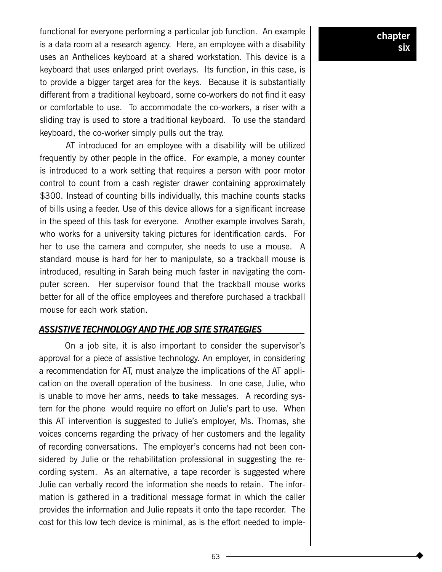functional for everyone performing a particular job function. An example is a data room at a research agency. Here, an employee with a disability uses an Anthelices keyboard at a shared workstation. This device is a keyboard that uses enlarged print overlays. Its function, in this case, is to provide a bigger target area for the keys. Because it is substantially different from a traditional keyboard, some co-workers do not find it easy or comfortable to use. To accommodate the co-workers, a riser with a sliding tray is used to store a traditional keyboard. To use the standard keyboard, the co-worker simply pulls out the tray.

AT introduced for an employee with a disability will be utilized frequently by other people in the office. For example, a money counter is introduced to a work setting that requires a person with poor motor control to count from a cash register drawer containing approximately \$300. Instead of counting bills individually, this machine counts stacks of bills using a feeder. Use of this device allows for a significant increase in the speed of this task for everyone. Another example involves Sarah, who works for a university taking pictures for identification cards. For her to use the camera and computer, she needs to use a mouse. A standard mouse is hard for her to manipulate, so a trackball mouse is introduced, resulting in Sarah being much faster in navigating the computer screen. Her supervisor found that the trackball mouse works better for all of the office employees and therefore purchased a trackball mouse for each work station.

#### ASSISTIVE TECHNOLOGY AND THE JOB SITE STRATEGIES

On a job site, it is also important to consider the supervisor's approval for a piece of assistive technology. An employer, in considering a recommendation for AT, must analyze the implications of the AT application on the overall operation of the business. In one case, Julie, who is unable to move her arms, needs to take messages. A recording system for the phone would require no effort on Julie's part to use. When this AT intervention is suggested to Julie's employer, Ms. Thomas, she voices concerns regarding the privacy of her customers and the legality of recording conversations. The employer's concerns had not been considered by Julie or the rehabilitation professional in suggesting the recording system. As an alternative, a tape recorder is suggested where Julie can verbally record the information she needs to retain. The information is gathered in a traditional message format in which the caller provides the information and Julie repeats it onto the tape recorder. The cost for this low tech device is minimal, as is the effort needed to imple-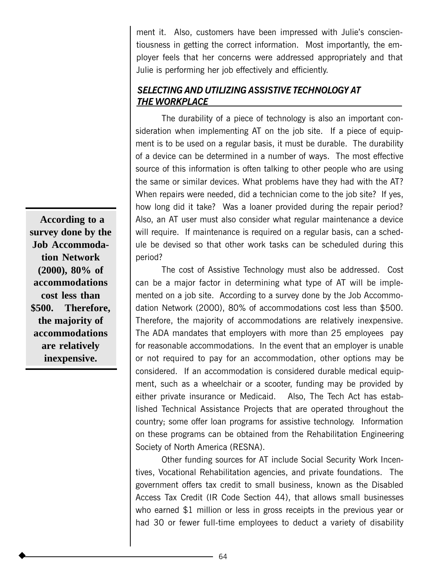ment it. Also, customers have been impressed with Julie's conscientiousness in getting the correct information. Most importantly, the employer feels that her concerns were addressed appropriately and that Julie is performing her job effectively and efficiently.

### SELECTING AND UTILIZING ASSISTIVE TECHNOLOGY AT <u>THE WORKPLACE</u>

The durability of a piece of technology is also an important consideration when implementing AT on the job site. If a piece of equipment is to be used on a regular basis, it must be durable. The durability of a device can be determined in a number of ways. The most effective source of this information is often talking to other people who are using the same or similar devices. What problems have they had with the AT? When repairs were needed, did a technician come to the job site? If yes, how long did it take? Was a loaner provided during the repair period? Also, an AT user must also consider what regular maintenance a device will require. If maintenance is required on a regular basis, can a schedule be devised so that other work tasks can be scheduled during this period?

The cost of Assistive Technology must also be addressed. Cost can be a major factor in determining what type of AT will be implemented on a job site. According to a survey done by the Job Accommodation Network (2000), 80% of accommodations cost less than \$500. Therefore, the majority of accommodations are relatively inexpensive. The ADA mandates that employers with more than 25 employees pay for reasonable accommodations. In the event that an employer is unable or not required to pay for an accommodation, other options may be considered. If an accommodation is considered durable medical equipment, such as a wheelchair or a scooter, funding may be provided by either private insurance or Medicaid. Also, The Tech Act has established Technical Assistance Projects that are operated throughout the country; some offer loan programs for assistive technology. Information on these programs can be obtained from the Rehabilitation Engineering Society of North America (RESNA).

Other funding sources for AT include Social Security Work Incentives, Vocational Rehabilitation agencies, and private foundations. The government offers tax credit to small business, known as the Disabled Access Tax Credit (IR Code Section 44), that allows small businesses who earned \$1 million or less in gross receipts in the previous year or had 30 or fewer full-time employees to deduct a variety of disability

**According to a survey done by the Job Accommodation Network (2000), 80% of accommodations cost less than \$500. Therefore, the majority of accommodations are relatively inexpensive.**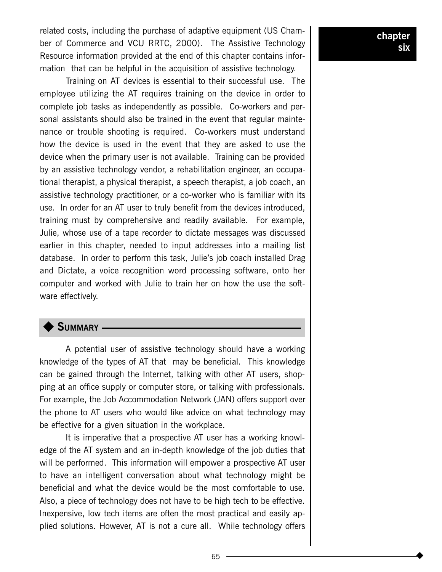related costs, including the purchase of adaptive equipment (US Chamber of Commerce and VCU RRTC, 2000). The Assistive Technology Resource information provided at the end of this chapter contains information that can be helpful in the acquisition of assistive technology.

Training on AT devices is essential to their successful use. The employee utilizing the AT requires training on the device in order to complete job tasks as independently as possible. Co-workers and personal assistants should also be trained in the event that regular maintenance or trouble shooting is required. Co-workers must understand how the device is used in the event that they are asked to use the device when the primary user is not available. Training can be provided by an assistive technology vendor, a rehabilitation engineer, an occupational therapist, a physical therapist, a speech therapist, a job coach, an assistive technology practitioner, or a co-worker who is familiar with its use. In order for an AT user to truly benefit from the devices introduced, training must by comprehensive and readily available. For example, Julie, whose use of a tape recorder to dictate messages was discussed earlier in this chapter, needed to input addresses into a mailing list database. In order to perform this task, Julie's job coach installed Drag and Dictate, a voice recognition word processing software, onto her computer and worked with Julie to train her on how the use the software effectively.

## SUMMARY -

A potential user of assistive technology should have a working knowledge of the types of AT that may be beneficial. This knowledge can be gained through the Internet, talking with other AT users, shopping at an office supply or computer store, or talking with professionals. For example, the Job Accommodation Network (JAN) offers support over the phone to AT users who would like advice on what technology may be effective for a given situation in the workplace.

It is imperative that a prospective AT user has a working knowledge of the AT system and an in-depth knowledge of the job duties that will be performed. This information will empower a prospective AT user to have an intelligent conversation about what technology might be beneficial and what the device would be the most comfortable to use. Also, a piece of technology does not have to be high tech to be effective. Inexpensive, low tech items are often the most practical and easily applied solutions. However, AT is not a cure all. While technology offers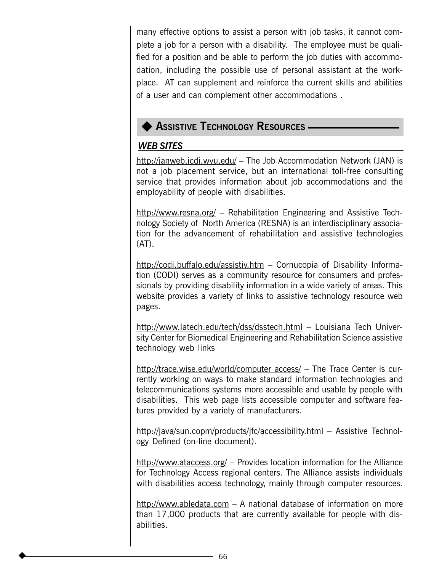many effective options to assist a person with job tasks, it cannot complete a job for a person with a disability. The employee must be qualified for a position and be able to perform the job duties with accommodation, including the possible use of personal assistant at the workplace. AT can supplement and reinforce the current skills and abilities of a user and can complement other accommodations .

# **ASSISTIVE TECHNOLOGY RESOURCES -**

# WEB SITES

http://janweb.icdi.wvu.edu/ The Job Accommodation Network (JAN) is not a job placement service, but an international toll-free consulting service that provides information about job accommodations and the employability of people with disabilities.

http://www.resna.org/  $-$  Rehabilitation Engineering and Assistive Technology Society of North America (RESNA) is an interdisciplinary association for the advancement of rehabilitation and assistive technologies (AT).

http://codi.buffalo.edu/assistiv.htm - Cornucopia of Disability Information (CODI) serves as a community resource for consumers and professionals by providing disability information in a wide variety of areas. This website provides a variety of links to assistive technology resource web pages.

http://www.latech.edu/tech/dss/dsstech.html - Louisiana Tech University Center for Biomedical Engineering and Rehabilitation Science assistive technology web links

http://trace.wise.edu/world/computer access/ - The Trace Center is currently working on ways to make standard information technologies and telecommunications systems more accessible and usable by people with disabilities. This web page lists accessible computer and software features provided by a variety of manufacturers.

http://java/sun.copm/products/jfc/accessibility.html - Assistive Technology Defined (on-line document).

http://www.ataccess.org/  $-$  Provides location information for the Alliance for Technology Access regional centers. The Alliance assists individuals with disabilities access technology, mainly through computer resources.

http://www.abledata.com  $-$  A national database of information on more than 17,000 products that are currently available for people with disabilities.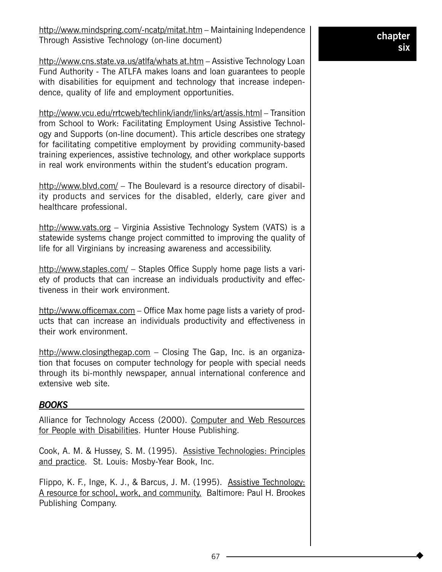http://www.cns.state.va.us/atlfa/whats at.htm – Assistive Technology Loan Fund Authority - The ATLFA makes loans and loan guarantees to people with disabilities for equipment and technology that increase independence, quality of life and employment opportunities.

http://www.vcu.edu/rrtcweb/techlink/iandr/links/art/assis.html – Transition from School to Work: Facilitating Employment Using Assistive Technology and Supports (on-line document). This article describes one strategy for facilitating competitive employment by providing community-based training experiences, assistive technology, and other workplace supports in real work environments within the student's education program.

http://www.blvd.com/  $-$  The Boulevard is a resource directory of disability products and services for the disabled, elderly, care giver and healthcare professional.

http://www.vats.org - Virginia Assistive Technology System (VATS) is a statewide systems change project committed to improving the quality of life for all Virginians by increasing awareness and accessibility.

http://www.staples.com/  $-$  Staples Office Supply home page lists a variety of products that can increase an individuals productivity and effectiveness in their work environment.

http://www.officemax.com - Office Max home page lists a variety of products that can increase an individuals productivity and effectiveness in their work environment.

http://www.closingthegap.com  $-$  Closing The Gap, Inc. is an organization that focuses on computer technology for people with special needs through its bi-monthly newspaper, annual international conference and extensive web site.

### BOOKS

Alliance for Technology Access (2000). Computer and Web Resources for People with Disabilities. Hunter House Publishing.

Cook, A. M. & Hussey, S. M. (1995). Assistive Technologies: Principles and practice. St. Louis: Mosby-Year Book, Inc.

Flippo, K. F., Inge, K. J., & Barcus, J. M. (1995). Assistive Technology: A resource for school, work, and community. Baltimore: Paul H. Brookes Publishing Company.